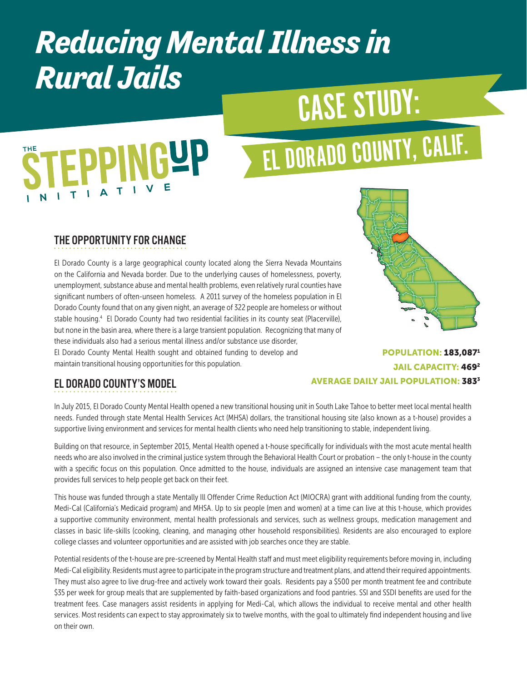### *Reducing Mental Illness in Rural Jails*

## CASE STUDY:

# **EPPINGYP**

## EL DORADO COUNTY, CALIF.

#### THE OPPORTUNITY FOR CHANGE

El Dorado County is a large geographical county located along the Sierra Nevada Mountains on the California and Nevada border. Due to the underlying causes of homelessness, poverty, unemployment, substance abuse and mental health problems, even relatively rural counties have significant numbers of often-unseen homeless. A 2011 survey of the homeless population in El Dorado County found that on any given night, an average of 322 people are homeless or without stable housing.<sup>4</sup> El Dorado County had two residential facilities in its county seat (Placerville), but none in the basin area, where there is a large transient population. Recognizing that many of these individuals also had a serious mental illness and/or substance use disorder, El Dorado County Mental Health sought and obtained funding to develop and maintain transitional housing opportunities for this population.



#### POPULATION: 183,0871 JAIL CAPACITY: 4692 AVERAGE DAILY JAIL POPULATION: 3833

#### EL DORADO COUNTY'S MODEL

In July 2015, El Dorado County Mental Health opened a new transitional housing unit in South Lake Tahoe to better meet local mental health needs. Funded through state Mental Health Services Act (MHSA) dollars, the transitional housing site (also known as a t-house) provides a supportive living environment and services for mental health clients who need help transitioning to stable, independent living.

Building on that resource, in September 2015, Mental Health opened a t-house specifically for individuals with the most acute mental health needs who are also involved in the criminal justice system through the Behavioral Health Court or probation – the only t-house in the county with a specific focus on this population. Once admitted to the house, individuals are assigned an intensive case management team that provides full services to help people get back on their feet.

This house was funded through a state Mentally Ill Offender Crime Reduction Act (MIOCRA) grant with additional funding from the county, Medi-Cal (California's Medicaid program) and MHSA. Up to six people (men and women) at a time can live at this t-house, which provides a supportive community environment, mental health professionals and services, such as wellness groups, medication management and classes in basic life-skills (cooking, cleaning, and managing other household responsibilities). Residents are also encouraged to explore college classes and volunteer opportunities and are assisted with job searches once they are stable.

Potential residents of the t-house are pre-screened by Mental Health staff and must meet eligibility requirements before moving in, including Medi-Cal eligibility. Residents must agree to participate in the program structure and treatment plans, and attend their required appointments. They must also agree to live drug-free and actively work toward their goals. Residents pay a \$500 per month treatment fee and contribute \$35 per week for group meals that are supplemented by faith-based organizations and food pantries. SSI and SSDI benefits are used for the treatment fees. Case managers assist residents in applying for Medi-Cal, which allows the individual to receive mental and other health services. Most residents can expect to stay approximately six to twelve months, with the goal to ultimately find independent housing and live on their own.